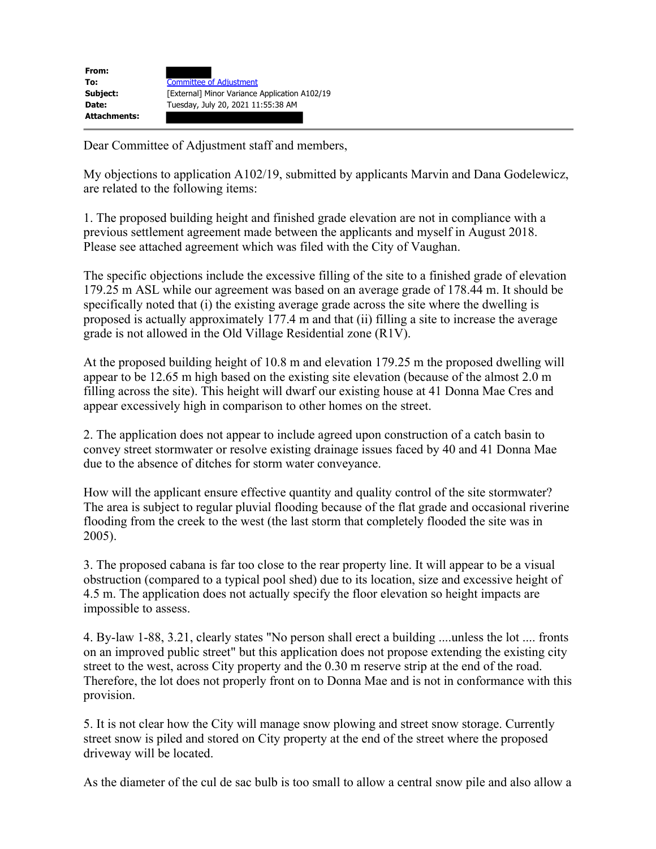| From:               |                                               |
|---------------------|-----------------------------------------------|
| To:                 | <b>Committee of Adjustment</b>                |
| Subject:            | [External] Minor Variance Application A102/19 |
| <b>Date:</b>        | Tuesday, July 20, 2021 11:55:38 AM            |
| <b>Attachments:</b> |                                               |

Dear Committee of Adjustment staff and members,

My objections to application A102/19, submitted by applicants Marvin and Dana Godelewicz, are related to the following items:

1. The proposed building height and finished grade elevation are not in compliance with a previous settlement agreement made between the applicants and myself in August 2018. Please see attached agreement which was filed with the City of Vaughan.

The specific objections include the excessive filling of the site to a finished grade of elevation 179.25 m ASL while our agreement was based on an average grade of 178.44 m. It should be specifically noted that (i) the existing average grade across the site where the dwelling is proposed is actually approximately 177.4 m and that (ii) filling a site to increase the average grade is not allowed in the Old Village Residential zone (R1V).

At the proposed building height of 10.8 m and elevation 179.25 m the proposed dwelling will appear to be 12.65 m high based on the existing site elevation (because of the almost 2.0 m filling across the site). This height will dwarf our existing house at 41 Donna Mae Cres and appear excessively high in comparison to other homes on the street.

2. The application does not appear to include agreed upon construction of a catch basin to convey street stormwater or resolve existing drainage issues faced by 40 and 41 Donna Mae due to the absence of ditches for storm water conveyance.

How will the applicant ensure effective quantity and quality control of the site stormwater? The area is subject to regular pluvial flooding because of the flat grade and occasional riverine flooding from the creek to the west (the last storm that completely flooded the site was in 2005).

3. The proposed cabana is far too close to the rear property line. It will appear to be a visual obstruction (compared to a typical pool shed) due to its location, size and excessive height of 4.5 m. The application does not actually specify the floor elevation so height impacts are impossible to assess.

4. By-law 1-88, 3.21, clearly states "No person shall erect a building ....unless the lot .... fronts on an improved public street" but this application does not propose extending the existing city street to the west, across City property and the 0.30 m reserve strip at the end of the road. Therefore, the lot does not properly front on to Donna Mae and is not in conformance with this provision.

5. It is not clear how the City will manage snow plowing and street snow storage. Currently street snow is piled and stored on City property at the end of the street where the proposed driveway will be located.

As the diameter of the cul de sac bulb is too small to allow a central snow pile and also allow a